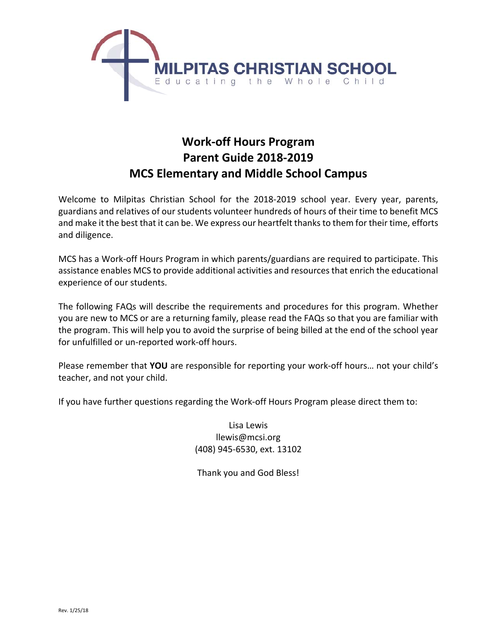

# **Work‐off Hours Program Parent Guide 2018‐2019 MCS Elementary and Middle School Campus**

Welcome to Milpitas Christian School for the 2018-2019 school year. Every year, parents, guardians and relatives of our students volunteer hundreds of hours of their time to benefit MCS and make it the best that it can be. We express our heartfelt thanks to them for their time, efforts and diligence.

MCS has a Work‐off Hours Program in which parents/guardians are required to participate. This assistance enables MCS to provide additional activities and resources that enrich the educational experience of our students.

The following FAQs will describe the requirements and procedures for this program. Whether you are new to MCS or are a returning family, please read the FAQs so that you are familiar with the program. This will help you to avoid the surprise of being billed at the end of the school year for unfulfilled or un‐reported work‐off hours.

Please remember that **YOU** are responsible for reporting your work‐off hours… not your child's teacher, and not your child.

If you have further questions regarding the Work‐off Hours Program please direct them to:

Lisa Lewis llewis@mcsi.org (408) 945‐6530, ext. 13102

Thank you and God Bless!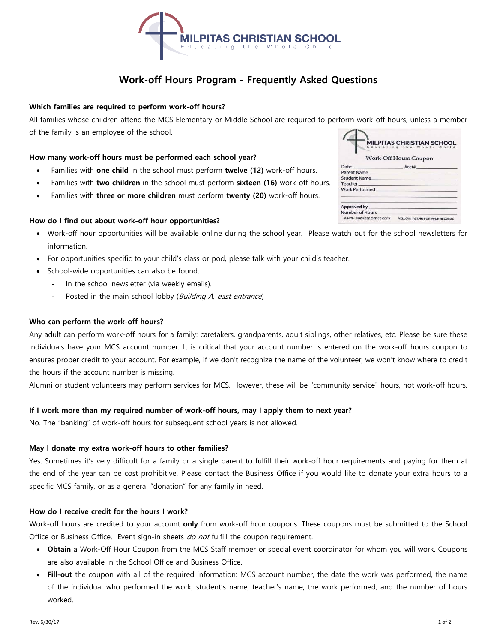

# **Work-off Hours Program - Frequently Asked Questions**

# **Which families are required to perform work-off hours?**

All families whose children attend the MCS Elementary or Middle School are required to perform work-off hours, unless a member of the family is an employee of the school.

#### **How many work-off hours must be performed each school year?**

- Families with **one child** in the school must perform **twelve (12)** work-off hours.
- Families with **two children** in the school must perform **sixteen (16)** work-off hours.
- Families with **three or more children** must perform **twenty (20)** work-off hours.

#### **How do I find out about work-off hour opportunities?**

- Work-off hour opportunities will be available online during the school year. Please watch out for the school newsletters for information.
- For opportunities specific to your child's class or pod, please talk with your child's teacher.
- School-wide opportunities can also be found:
	- In the school newsletter (via weekly emails).
	- Posted in the main school lobby (Building A, east entrance)

#### **Who can perform the work-off hours?**

Any adult can perform work-off hours for a family: caretakers, grandparents, adult siblings, other relatives, etc. Please be sure these individuals have your MCS account number. It is critical that your account number is entered on the work-off hours coupon to ensures proper credit to your account. For example, if we don't recognize the name of the volunteer, we won't know where to credit the hours if the account number is missing.

Alumni or student volunteers may perform services for MCS. However, these will be "community service" hours, not work-off hours.

#### **If I work more than my required number of work-off hours, may I apply them to next year?**

No. The "banking" of work-off hours for subsequent school years is not allowed.

#### **May I donate my extra work-off hours to other families?**

Yes. Sometimes it's very difficult for a family or a single parent to fulfill their work-off hour requirements and paying for them at the end of the year can be cost prohibitive. Please contact the Business Office if you would like to donate your extra hours to a specific MCS family, or as a general "donation" for any family in need.

#### **How do I receive credit for the hours I work?**

Work-off hours are credited to your account **only** from work-off hour coupons. These coupons must be submitted to the School Office or Business Office. Event sign-in sheets do not fulfill the coupon requirement.

- **Obtain** a Work-Off Hour Coupon from the MCS Staff member or special event coordinator for whom you will work. Coupons are also available in the School Office and Business Office.
- **Fill-out** the coupon with all of the required information: MCS account number, the date the work was performed, the name of the individual who performed the work, student's name, teacher's name, the work performed, and the number of hours worked.

| <b>MILPITAS CHRISTIAN SCHOOL</b><br>Educating the Whole Child |                                 |  |
|---------------------------------------------------------------|---------------------------------|--|
| <b>Work-Off Hours Coupon</b>                                  |                                 |  |
|                                                               | Date: Acct#                     |  |
| Parent Name                                                   |                                 |  |
| Student Name                                                  |                                 |  |
| <b>Teacher</b>                                                |                                 |  |
| Work Performed                                                |                                 |  |
| Approved by ____                                              |                                 |  |
| Number of Hours                                               |                                 |  |
| WHITE: BUSINESS OFFICE COPY                                   | YELLOW: RETAIN FOR YOUR RECORDS |  |